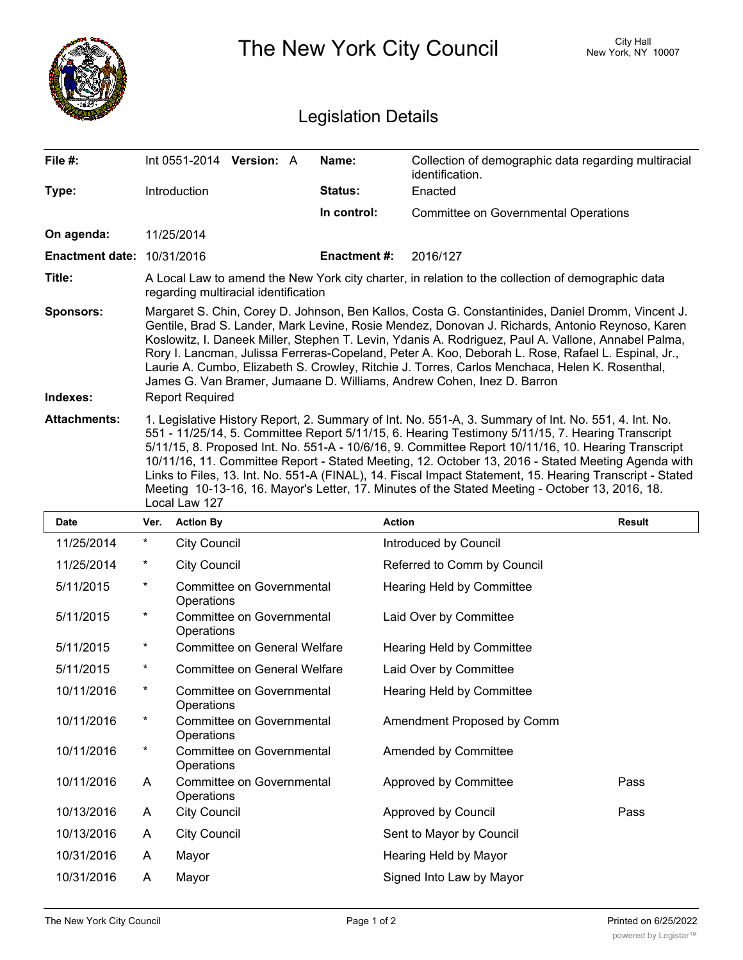|                                   | The New York City Council                                                                                                                                                                                                                                                                                                                                                                                                                                                                                                                                                                                                                             |                                                |                    |                                                                         | <b>City Hall</b><br>New York, NY 10007 |
|-----------------------------------|-------------------------------------------------------------------------------------------------------------------------------------------------------------------------------------------------------------------------------------------------------------------------------------------------------------------------------------------------------------------------------------------------------------------------------------------------------------------------------------------------------------------------------------------------------------------------------------------------------------------------------------------------------|------------------------------------------------|--------------------|-------------------------------------------------------------------------|----------------------------------------|
| <b>Legislation Details</b>        |                                                                                                                                                                                                                                                                                                                                                                                                                                                                                                                                                                                                                                                       |                                                |                    |                                                                         |                                        |
| File #:                           |                                                                                                                                                                                                                                                                                                                                                                                                                                                                                                                                                                                                                                                       | Int 0551-2014 Version: A                       | Name:              | Collection of demographic data regarding multiracial<br>identification. |                                        |
| Type:                             |                                                                                                                                                                                                                                                                                                                                                                                                                                                                                                                                                                                                                                                       | Introduction                                   | Status:            | Enacted                                                                 |                                        |
|                                   |                                                                                                                                                                                                                                                                                                                                                                                                                                                                                                                                                                                                                                                       |                                                | In control:        | <b>Committee on Governmental Operations</b>                             |                                        |
| On agenda:                        |                                                                                                                                                                                                                                                                                                                                                                                                                                                                                                                                                                                                                                                       | 11/25/2014                                     |                    |                                                                         |                                        |
| <b>Enactment date: 10/31/2016</b> |                                                                                                                                                                                                                                                                                                                                                                                                                                                                                                                                                                                                                                                       |                                                | <b>Enactment#:</b> | 2016/127                                                                |                                        |
| Title:                            | A Local Law to amend the New York city charter, in relation to the collection of demographic data<br>regarding multiracial identification                                                                                                                                                                                                                                                                                                                                                                                                                                                                                                             |                                                |                    |                                                                         |                                        |
| <b>Sponsors:</b><br>Indexes:      | Margaret S. Chin, Corey D. Johnson, Ben Kallos, Costa G. Constantinides, Daniel Dromm, Vincent J.<br>Gentile, Brad S. Lander, Mark Levine, Rosie Mendez, Donovan J. Richards, Antonio Reynoso, Karen<br>Koslowitz, I. Daneek Miller, Stephen T. Levin, Ydanis A. Rodriguez, Paul A. Vallone, Annabel Palma,<br>Rory I. Lancman, Julissa Ferreras-Copeland, Peter A. Koo, Deborah L. Rose, Rafael L. Espinal, Jr.,<br>Laurie A. Cumbo, Elizabeth S. Crowley, Ritchie J. Torres, Carlos Menchaca, Helen K. Rosenthal,<br>James G. Van Bramer, Jumaane D. Williams, Andrew Cohen, Inez D. Barron<br><b>Report Required</b>                               |                                                |                    |                                                                         |                                        |
| <b>Attachments:</b>               | 1. Legislative History Report, 2. Summary of Int. No. 551-A, 3. Summary of Int. No. 551, 4. Int. No.<br>551 - 11/25/14, 5. Committee Report 5/11/15, 6. Hearing Testimony 5/11/15, 7. Hearing Transcript<br>5/11/15, 8. Proposed Int. No. 551-A - 10/6/16, 9. Committee Report 10/11/16, 10. Hearing Transcript<br>10/11/16, 11. Committee Report - Stated Meeting, 12. October 13, 2016 - Stated Meeting Agenda with<br>Links to Files, 13. Int. No. 551-A (FINAL), 14. Fiscal Impact Statement, 15. Hearing Transcript - Stated<br>Meeting 10-13-16, 16. Mayor's Letter, 17. Minutes of the Stated Meeting - October 13, 2016, 18.<br>Local Law 127 |                                                |                    |                                                                         |                                        |
| <b>Date</b>                       | Ver.                                                                                                                                                                                                                                                                                                                                                                                                                                                                                                                                                                                                                                                  | <b>Action By</b>                               |                    | <b>Action</b>                                                           | <b>Result</b>                          |
| 11/25/2014                        | $\star$                                                                                                                                                                                                                                                                                                                                                                                                                                                                                                                                                                                                                                               | <b>City Council</b>                            |                    | Introduced by Council                                                   |                                        |
| 11/25/2014                        | $\ast$                                                                                                                                                                                                                                                                                                                                                                                                                                                                                                                                                                                                                                                | <b>City Council</b>                            |                    | Referred to Comm by Council                                             |                                        |
| 5/11/2015                         | $\ast$                                                                                                                                                                                                                                                                                                                                                                                                                                                                                                                                                                                                                                                | Committee on Governmental<br>Operations        |                    | Hearing Held by Committee                                               |                                        |
| 5/11/2015                         | $\ast$                                                                                                                                                                                                                                                                                                                                                                                                                                                                                                                                                                                                                                                | Committee on Governmental<br>Operations        |                    | Laid Over by Committee                                                  |                                        |
| 5/11/2015                         | $\ast$                                                                                                                                                                                                                                                                                                                                                                                                                                                                                                                                                                                                                                                | <b>Committee on General Welfare</b>            |                    | Hearing Held by Committee                                               |                                        |
| 5/11/2015                         | *                                                                                                                                                                                                                                                                                                                                                                                                                                                                                                                                                                                                                                                     | <b>Committee on General Welfare</b>            |                    | Laid Over by Committee                                                  |                                        |
| 10/11/2016                        | $^\star$                                                                                                                                                                                                                                                                                                                                                                                                                                                                                                                                                                                                                                              | Committee on Governmental<br>Operations        |                    | Hearing Held by Committee                                               |                                        |
| 10/11/2016                        | $\ast$                                                                                                                                                                                                                                                                                                                                                                                                                                                                                                                                                                                                                                                | <b>Committee on Governmental</b><br>Operations |                    | Amendment Proposed by Comm                                              |                                        |
| 10/11/2016                        | $\star$                                                                                                                                                                                                                                                                                                                                                                                                                                                                                                                                                                                                                                               | Committee on Governmental<br>Operations        |                    | Amended by Committee                                                    |                                        |
| 10/11/2016                        | A                                                                                                                                                                                                                                                                                                                                                                                                                                                                                                                                                                                                                                                     | Committee on Governmental<br>Operations        |                    | Approved by Committee                                                   | Pass                                   |
| 10/13/2016                        | A                                                                                                                                                                                                                                                                                                                                                                                                                                                                                                                                                                                                                                                     | <b>City Council</b>                            |                    | Approved by Council                                                     | Pass                                   |
| 10/13/2016                        | A                                                                                                                                                                                                                                                                                                                                                                                                                                                                                                                                                                                                                                                     | <b>City Council</b>                            |                    | Sent to Mayor by Council                                                |                                        |
| 10/31/2016                        | A                                                                                                                                                                                                                                                                                                                                                                                                                                                                                                                                                                                                                                                     | Mayor                                          |                    | Hearing Held by Mayor                                                   |                                        |
| 10/31/2016                        | A                                                                                                                                                                                                                                                                                                                                                                                                                                                                                                                                                                                                                                                     | Mayor                                          |                    | Signed Into Law by Mayor                                                |                                        |